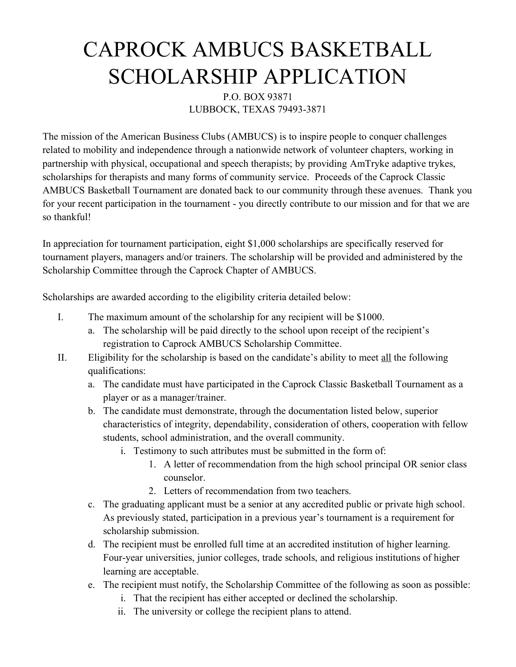## CAPROCK AMBUCS BASKETBALL SCHOLARSHIP APPLICATION

## P.O. BOX 93871 LUBBOCK, TEXAS 79493-3871

The mission of the American Business Clubs (AMBUCS) is to inspire people to conquer challenges related to mobility and independence through a nationwide network of volunteer chapters, working in partnership with physical, occupational and speech therapists; by providing AmTryke adaptive trykes, scholarships for therapists and many forms of community service. Proceeds of the Caprock Classic AMBUCS Basketball Tournament are donated back to our community through these avenues. Thank you for your recent participation in the tournament - you directly contribute to our mission and for that we are so thankful!

In appreciation for tournament participation, eight \$1,000 scholarships are specifically reserved for tournament players, managers and/or trainers. The scholarship will be provided and administered by the Scholarship Committee through the Caprock Chapter of AMBUCS.

Scholarships are awarded according to the eligibility criteria detailed below:

- I. The maximum amount of the scholarship for any recipient will be \$1000.
	- a. The scholarship will be paid directly to the school upon receipt of the recipient's registration to Caprock AMBUCS Scholarship Committee.
- II. Eligibility for the scholarship is based on the candidate's ability to meet all the following qualifications:
	- a. The candidate must have participated in the Caprock Classic Basketball Tournament as a player or as a manager/trainer.
	- b. The candidate must demonstrate, through the documentation listed below, superior characteristics of integrity, dependability, consideration of others, cooperation with fellow students, school administration, and the overall community.
		- i. Testimony to such attributes must be submitted in the form of:
			- 1. A letter of recommendation from the high school principal OR senior class counselor.
			- 2. Letters of recommendation from two teachers.
	- c. The graduating applicant must be a senior at any accredited public or private high school. As previously stated, participation in a previous year's tournament is a requirement for scholarship submission.
	- d. The recipient must be enrolled full time at an accredited institution of higher learning. Four-year universities, junior colleges, trade schools, and religious institutions of higher learning are acceptable.
	- e. The recipient must notify, the Scholarship Committee of the following as soon as possible:
		- i. That the recipient has either accepted or declined the scholarship.
		- ii. The university or college the recipient plans to attend.